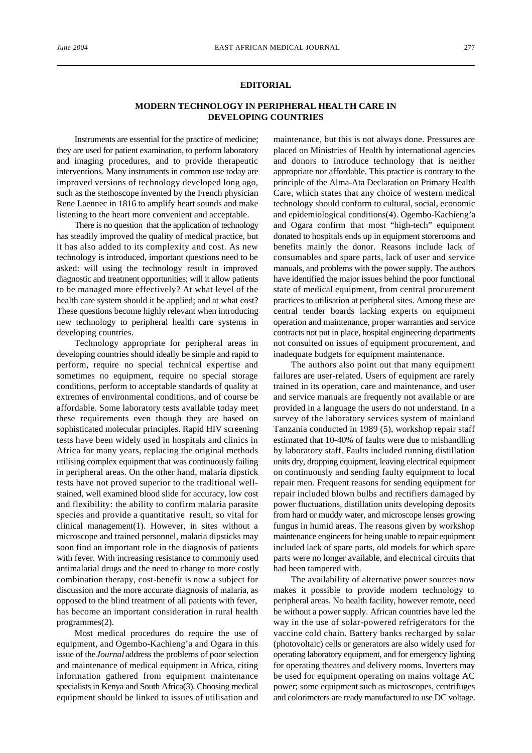## **EDITORIAL**

## **MODERN TECHNOLOGY IN PERIPHERAL HEALTH CARE IN DEVELOPING COUNTRIES**

Instruments are essential for the practice of medicine; they are used for patient examination, to perform laboratory and imaging procedures, and to provide therapeutic interventions. Many instruments in common use today are improved versions of technology developed long ago, such as the stethoscope invented by the French physician Rene Laennec in 1816 to amplify heart sounds and make listening to the heart more convenient and acceptable.

There is no question that the application of technology has steadily improved the quality of medical practice, but it has also added to its complexity and cost. As new technology is introduced, important questions need to be asked: will using the technology result in improved diagnostic and treatment opportunities; will it allow patients to be managed more effectively? At what level of the health care system should it be applied; and at what cost? These questions become highly relevant when introducing new technology to peripheral health care systems in developing countries.

Technology appropriate for peripheral areas in developing countries should ideally be simple and rapid to perform, require no special technical expertise and sometimes no equipment, require no special storage conditions, perform to acceptable standards of quality at extremes of environmental conditions, and of course be affordable. Some laboratory tests available today meet these requirements even though they are based on sophisticated molecular principles. Rapid HIV screening tests have been widely used in hospitals and clinics in Africa for many years, replacing the original methods utilising complex equipment that was continuously failing in peripheral areas. On the other hand, malaria dipstick tests have not proved superior to the traditional wellstained, well examined blood slide for accuracy, low cost and flexibility: the ability to confirm malaria parasite species and provide a quantitative result, so vital for clinical management(1). However, in sites without a microscope and trained personnel, malaria dipsticks may soon find an important role in the diagnosis of patients with fever. With increasing resistance to commonly used antimalarial drugs and the need to change to more costly combination therapy, cost-benefit is now a subject for discussion and the more accurate diagnosis of malaria, as opposed to the blind treatment of all patients with fever, has become an important consideration in rural health programmes(2).

Most medical procedures do require the use of equipment, and Ogembo-Kachieng'a and Ogara in this issue of the *Journal* address the problems of poor selection and maintenance of medical equipment in Africa, citing information gathered from equipment maintenance specialists in Kenya and South Africa(3). Choosing medical equipment should be linked to issues of utilisation and maintenance, but this is not always done. Pressures are placed on Ministries of Health by international agencies and donors to introduce technology that is neither appropriate nor affordable. This practice is contrary to the principle of the Alma-Ata Declaration on Primary Health Care, which states that any choice of western medical technology should conform to cultural, social, economic and epidemiological conditions(4). Ogembo-Kachieng'a and Ogara confirm that most "high-tech" equipment donated to hospitals ends up in equipment storerooms and benefits mainly the donor. Reasons include lack of consumables and spare parts, lack of user and service manuals, and problems with the power supply. The authors have identified the major issues behind the poor functional state of medical equipment, from central procurement practices to utilisation at peripheral sites. Among these are central tender boards lacking experts on equipment operation and maintenance, proper warranties and service contracts not put in place, hospital engineering departments not consulted on issues of equipment procurement, and inadequate budgets for equipment maintenance.

The authors also point out that many equipment failures are user-related. Users of equipment are rarely trained in its operation, care and maintenance, and user and service manuals are frequently not available or are provided in a language the users do not understand. In a survey of the laboratory services system of mainland Tanzania conducted in 1989 (5), workshop repair staff estimated that 10-40% of faults were due to mishandling by laboratory staff. Faults included running distillation units dry, dropping equipment, leaving electrical equipment on continuously and sending faulty equipment to local repair men. Frequent reasons for sending equipment for repair included blown bulbs and rectifiers damaged by power fluctuations, distillation units developing deposits from hard or muddy water, and microscope lenses growing fungus in humid areas. The reasons given by workshop maintenance engineers for being unable to repair equipment included lack of spare parts, old models for which spare parts were no longer available, and electrical circuits that had been tampered with.

The availability of alternative power sources now makes it possible to provide modern technology to peripheral areas. No health facility, however remote, need be without a power supply. African countries have led the way in the use of solar-powered refrigerators for the vaccine cold chain. Battery banks recharged by solar (photovoltaic) cells or generators are also widely used for operating laboratory equipment, and for emergency lighting for operating theatres and delivery rooms. Inverters may be used for equipment operating on mains voltage AC power; some equipment such as microscopes, centrifuges and colorimeters are ready manufactured to use DC voltage.